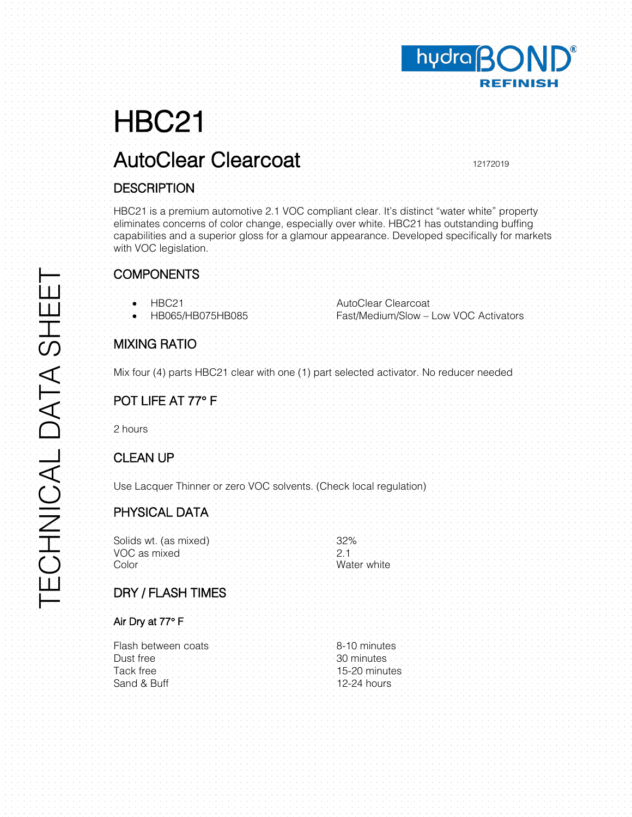# HBC21

## AutoClear Clearcoat 12172019

#### **DESCRIPTION**

HBC21 is a premium automotive 2.1 VOC compliant clear. It's distinct "water white" property eliminates concerns of color change, especially over white. HBC21 has outstanding buffing capabilities and a superior gloss for a glamour appearance. Developed specifically for markets with VOC legislation.

hudra BOND®

**REFINISH** 

| <b>COMPONENTS</b>                                                                      |                                                              |  |
|----------------------------------------------------------------------------------------|--------------------------------------------------------------|--|
| HBC21<br>٠<br>HB065/HB075HB085                                                         | AutoClear Clearcoat<br>Fast/Medium/Slow - Low VOC Activators |  |
| <b>MIXING RATIO</b>                                                                    |                                                              |  |
| Mix four (4) parts HBC21 clear with one (1) part selected activator. No reducer needed |                                                              |  |
| POT LIFE AT 77° F                                                                      |                                                              |  |
| 2 hours                                                                                |                                                              |  |
| <b>CLEAN UP</b>                                                                        |                                                              |  |
| Use Lacquer Thinner or zero VOC solvents. (Check local regulation)                     |                                                              |  |
| PHYSICAL DATA:                                                                         |                                                              |  |
| Solids wt. (as mixed)<br>VOC as mixed<br>Color                                         | 32%<br>2.1<br>Water white                                    |  |
| DRY / FLASH TIMES                                                                      |                                                              |  |
| Air Dry at 77° F                                                                       |                                                              |  |
| Flash between coats<br>Dust free<br>Tack free<br>Sand & Buff                           | 8-10 minutes<br>30 minutes<br>15-20 minutes<br>12-24 hours   |  |
|                                                                                        |                                                              |  |